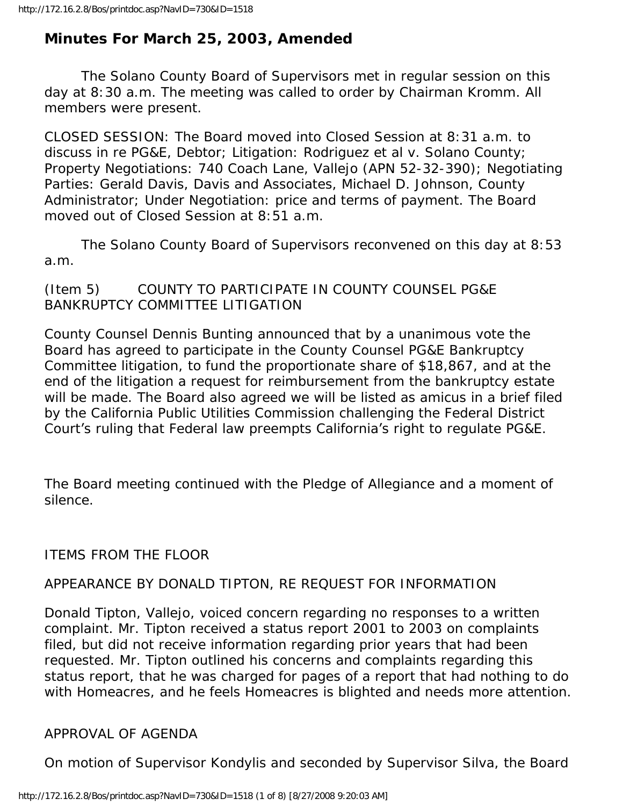# **Minutes For March 25, 2003, Amended**

 The Solano County Board of Supervisors met in regular session on this day at 8:30 a.m. The meeting was called to order by Chairman Kromm. All members were present.

CLOSED SESSION: The Board moved into Closed Session at 8:31 a.m. to discuss in re PG&E, Debtor; Litigation: Rodriguez et al v. Solano County; Property Negotiations: 740 Coach Lane, Vallejo (APN 52-32-390); Negotiating Parties: Gerald Davis, Davis and Associates, Michael D. Johnson, County Administrator; Under Negotiation: price and terms of payment. The Board moved out of Closed Session at 8:51 a.m.

 The Solano County Board of Supervisors reconvened on this day at 8:53 a.m.

(Item 5) COUNTY TO PARTICIPATE IN COUNTY COUNSEL PG&E BANKRUPTCY COMMITTEE LITIGATION

County Counsel Dennis Bunting announced that by a unanimous vote the Board has agreed to participate in the County Counsel PG&E Bankruptcy Committee litigation, to fund the proportionate share of \$18,867, and at the end of the litigation a request for reimbursement from the bankruptcy estate will be made. The Board also agreed we will be listed as amicus in a brief filed by the California Public Utilities Commission challenging the Federal District Court's ruling that Federal law preempts California's right to regulate PG&E.

The Board meeting continued with the Pledge of Allegiance and a moment of silence.

ITEMS FROM THE FLOOR

## APPEARANCE BY DONALD TIPTON, RE REQUEST FOR INFORMATION

Donald Tipton, Vallejo, voiced concern regarding no responses to a written complaint. Mr. Tipton received a status report 2001 to 2003 on complaints filed, but did not receive information regarding prior years that had been requested. Mr. Tipton outlined his concerns and complaints regarding this status report, that he was charged for pages of a report that had nothing to do with Homeacres, and he feels Homeacres is blighted and needs more attention.

## APPROVAL OF AGENDA

On motion of Supervisor Kondylis and seconded by Supervisor Silva, the Board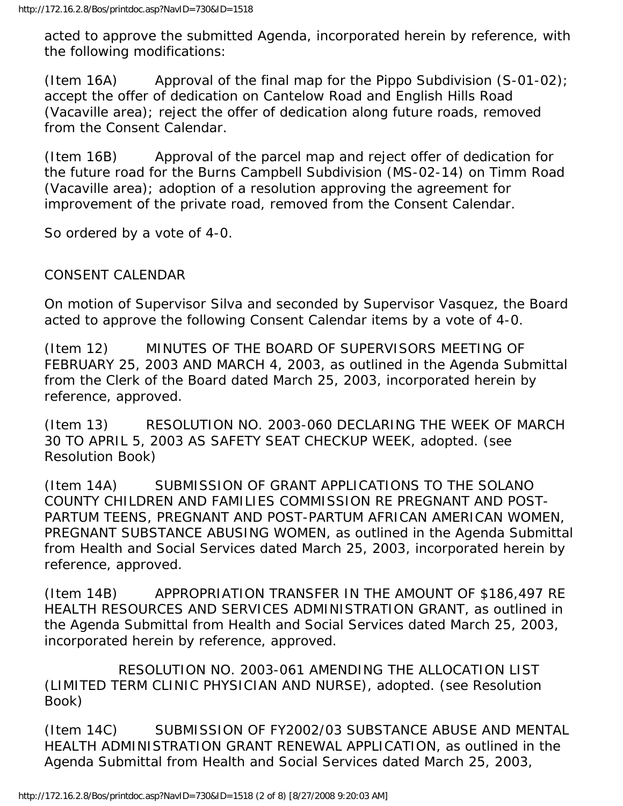acted to approve the submitted Agenda, incorporated herein by reference, with the following modifications:

(Item 16A) Approval of the final map for the Pippo Subdivision  $(S-01-02)$ ; accept the offer of dedication on Cantelow Road and English Hills Road (Vacaville area); reject the offer of dedication along future roads, removed from the Consent Calendar.

(Item 16B) Approval of the parcel map and reject offer of dedication for the future road for the Burns Campbell Subdivision (MS-02-14) on Timm Road (Vacaville area); adoption of a resolution approving the agreement for improvement of the private road, removed from the Consent Calendar.

So ordered by a vote of 4-0.

# CONSENT CALENDAR

On motion of Supervisor Silva and seconded by Supervisor Vasquez, the Board acted to approve the following Consent Calendar items by a vote of 4-0.

(Item 12) MINUTES OF THE BOARD OF SUPERVISORS MEETING OF FEBRUARY 25, 2003 AND MARCH 4, 2003, as outlined in the Agenda Submittal from the Clerk of the Board dated March 25, 2003, incorporated herein by reference, approved.

(Item 13) RESOLUTION NO. 2003-060 DECLARING THE WEEK OF MARCH 30 TO APRIL 5, 2003 AS SAFETY SEAT CHECKUP WEEK, adopted. (see Resolution Book)

(Item 14A) SUBMISSION OF GRANT APPLICATIONS TO THE SOLANO COUNTY CHILDREN AND FAMILIES COMMISSION RE PREGNANT AND POST-PARTUM TEENS, PREGNANT AND POST-PARTUM AFRICAN AMERICAN WOMEN, PREGNANT SUBSTANCE ABUSING WOMEN, as outlined in the Agenda Submittal from Health and Social Services dated March 25, 2003, incorporated herein by reference, approved.

(Item 14B) APPROPRIATION TRANSFER IN THE AMOUNT OF \$186,497 RE HEALTH RESOURCES AND SERVICES ADMINISTRATION GRANT, as outlined in the Agenda Submittal from Health and Social Services dated March 25, 2003, incorporated herein by reference, approved.

 RESOLUTION NO. 2003-061 AMENDING THE ALLOCATION LIST (LIMITED TERM CLINIC PHYSICIAN AND NURSE), adopted. (see Resolution Book)

(Item 14C) SUBMISSION OF FY2002/03 SUBSTANCE ABUSE AND MENTAL HEALTH ADMINISTRATION GRANT RENEWAL APPLICATION, as outlined in the Agenda Submittal from Health and Social Services dated March 25, 2003,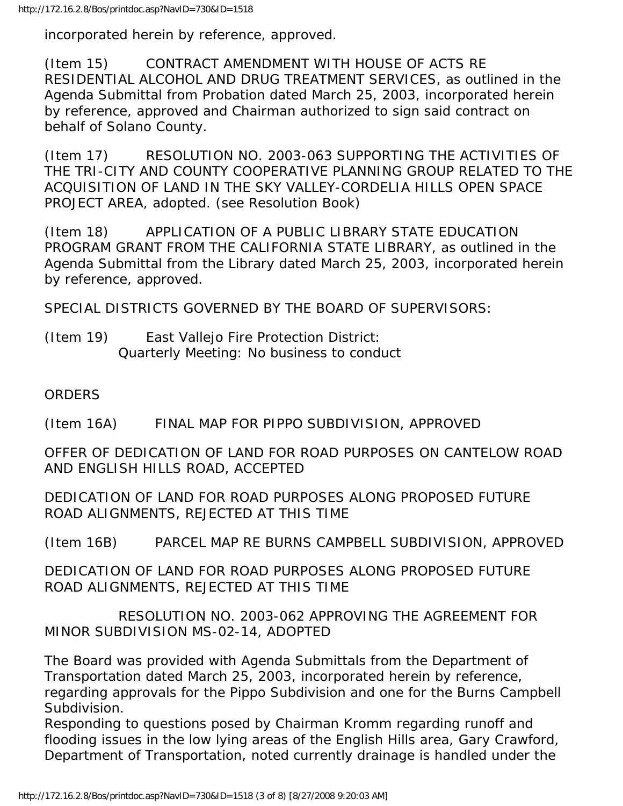incorporated herein by reference, approved.

(Item 15) CONTRACT AMENDMENT WITH HOUSE OF ACTS RE RESIDENTIAL ALCOHOL AND DRUG TREATMENT SERVICES, as outlined in the Agenda Submittal from Probation dated March 25, 2003, incorporated herein by reference, approved and Chairman authorized to sign said contract on behalf of Solano County.

(Item 17) RESOLUTION NO. 2003-063 SUPPORTING THE ACTIVITIES OF THE TRI-CITY AND COUNTY COOPERATIVE PLANNING GROUP RELATED TO THE ACQUISITION OF LAND IN THE SKY VALLEY-CORDELIA HILLS OPEN SPACE PROJECT AREA, adopted. (see Resolution Book)

(Item 18) APPLICATION OF A PUBLIC LIBRARY STATE EDUCATION PROGRAM GRANT FROM THE CALIFORNIA STATE LIBRARY, as outlined in the Agenda Submittal from the Library dated March 25, 2003, incorporated herein by reference, approved.

SPECIAL DISTRICTS GOVERNED BY THE BOARD OF SUPERVISORS:

(Item 19) East Vallejo Fire Protection District: Quarterly Meeting: No business to conduct

ORDERS

(Item 16A) FINAL MAP FOR PIPPO SUBDIVISION, APPROVED

OFFER OF DEDICATION OF LAND FOR ROAD PURPOSES ON CANTELOW ROAD AND ENGLISH HILLS ROAD, ACCEPTED

DEDICATION OF LAND FOR ROAD PURPOSES ALONG PROPOSED FUTURE ROAD ALIGNMENTS, REJECTED AT THIS TIME

(Item 16B) PARCEL MAP RE BURNS CAMPBELL SUBDIVISION, APPROVED

DEDICATION OF LAND FOR ROAD PURPOSES ALONG PROPOSED FUTURE ROAD ALIGNMENTS, REJECTED AT THIS TIME

 RESOLUTION NO. 2003-062 APPROVING THE AGREEMENT FOR MINOR SUBDIVISION MS-02-14, ADOPTED

The Board was provided with Agenda Submittals from the Department of Transportation dated March 25, 2003, incorporated herein by reference, regarding approvals for the Pippo Subdivision and one for the Burns Campbell Subdivision.

Responding to questions posed by Chairman Kromm regarding runoff and flooding issues in the low lying areas of the English Hills area, Gary Crawford, Department of Transportation, noted currently drainage is handled under the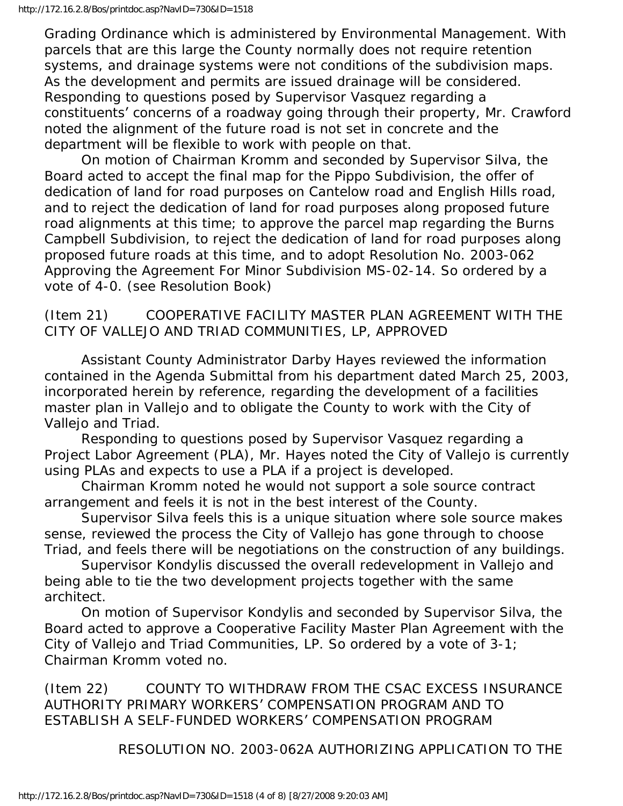Grading Ordinance which is administered by Environmental Management. With parcels that are this large the County normally does not require retention systems, and drainage systems were not conditions of the subdivision maps. As the development and permits are issued drainage will be considered. Responding to questions posed by Supervisor Vasquez regarding a constituents' concerns of a roadway going through their property, Mr. Crawford noted the alignment of the future road is not set in concrete and the department will be flexible to work with people on that.

 On motion of Chairman Kromm and seconded by Supervisor Silva, the Board acted to accept the final map for the Pippo Subdivision, the offer of dedication of land for road purposes on Cantelow road and English Hills road, and to reject the dedication of land for road purposes along proposed future road alignments at this time; to approve the parcel map regarding the Burns Campbell Subdivision, to reject the dedication of land for road purposes along proposed future roads at this time, and to adopt Resolution No. 2003-062 Approving the Agreement For Minor Subdivision MS-02-14. So ordered by a vote of 4-0. (see Resolution Book)

# (Item 21) COOPERATIVE FACILITY MASTER PLAN AGREEMENT WITH THE CITY OF VALLEJO AND TRIAD COMMUNITIES, LP, APPROVED

 Assistant County Administrator Darby Hayes reviewed the information contained in the Agenda Submittal from his department dated March 25, 2003, incorporated herein by reference, regarding the development of a facilities master plan in Vallejo and to obligate the County to work with the City of Vallejo and Triad.

 Responding to questions posed by Supervisor Vasquez regarding a Project Labor Agreement (PLA), Mr. Hayes noted the City of Vallejo is currently using PLAs and expects to use a PLA if a project is developed.

 Chairman Kromm noted he would not support a sole source contract arrangement and feels it is not in the best interest of the County.

 Supervisor Silva feels this is a unique situation where sole source makes sense, reviewed the process the City of Vallejo has gone through to choose Triad, and feels there will be negotiations on the construction of any buildings.

 Supervisor Kondylis discussed the overall redevelopment in Vallejo and being able to tie the two development projects together with the same architect.

 On motion of Supervisor Kondylis and seconded by Supervisor Silva, the Board acted to approve a Cooperative Facility Master Plan Agreement with the City of Vallejo and Triad Communities, LP. So ordered by a vote of 3-1; Chairman Kromm voted no.

(Item 22) COUNTY TO WITHDRAW FROM THE CSAC EXCESS INSURANCE AUTHORITY PRIMARY WORKERS' COMPENSATION PROGRAM AND TO ESTABLISH A SELF-FUNDED WORKERS' COMPENSATION PROGRAM

RESOLUTION NO. 2003-062A AUTHORIZING APPLICATION TO THE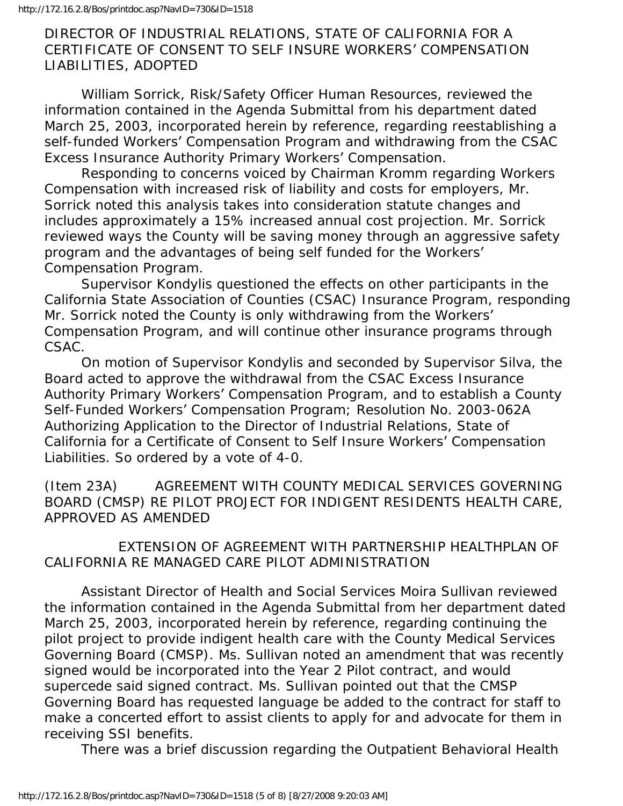## DIRECTOR OF INDUSTRIAL RELATIONS, STATE OF CALIFORNIA FOR A CERTIFICATE OF CONSENT TO SELF INSURE WORKERS' COMPENSATION LIABILITIES, ADOPTED

 William Sorrick, Risk/Safety Officer Human Resources, reviewed the information contained in the Agenda Submittal from his department dated March 25, 2003, incorporated herein by reference, regarding reestablishing a self-funded Workers' Compensation Program and withdrawing from the CSAC Excess Insurance Authority Primary Workers' Compensation.

 Responding to concerns voiced by Chairman Kromm regarding Workers Compensation with increased risk of liability and costs for employers, Mr. Sorrick noted this analysis takes into consideration statute changes and includes approximately a 15% increased annual cost projection. Mr. Sorrick reviewed ways the County will be saving money through an aggressive safety program and the advantages of being self funded for the Workers' Compensation Program.

 Supervisor Kondylis questioned the effects on other participants in the California State Association of Counties (CSAC) Insurance Program, responding Mr. Sorrick noted the County is only withdrawing from the Workers' Compensation Program, and will continue other insurance programs through CSAC.

 On motion of Supervisor Kondylis and seconded by Supervisor Silva, the Board acted to approve the withdrawal from the CSAC Excess Insurance Authority Primary Workers' Compensation Program, and to establish a County Self-Funded Workers' Compensation Program; Resolution No. 2003-062A Authorizing Application to the Director of Industrial Relations, State of California for a Certificate of Consent to Self Insure Workers' Compensation Liabilities. So ordered by a vote of 4-0.

(Item 23A) AGREEMENT WITH COUNTY MEDICAL SERVICES GOVERNING BOARD (CMSP) RE PILOT PROJECT FOR INDIGENT RESIDENTS HEALTH CARE, APPROVED AS AMENDED

 EXTENSION OF AGREEMENT WITH PARTNERSHIP HEALTHPLAN OF CALIFORNIA RE MANAGED CARE PILOT ADMINISTRATION

 Assistant Director of Health and Social Services Moira Sullivan reviewed the information contained in the Agenda Submittal from her department dated March 25, 2003, incorporated herein by reference, regarding continuing the pilot project to provide indigent health care with the County Medical Services Governing Board (CMSP). Ms. Sullivan noted an amendment that was recently signed would be incorporated into the Year 2 Pilot contract, and would supercede said signed contract. Ms. Sullivan pointed out that the CMSP Governing Board has requested language be added to the contract for staff to make a concerted effort to assist clients to apply for and advocate for them in receiving SSI benefits.

There was a brief discussion regarding the Outpatient Behavioral Health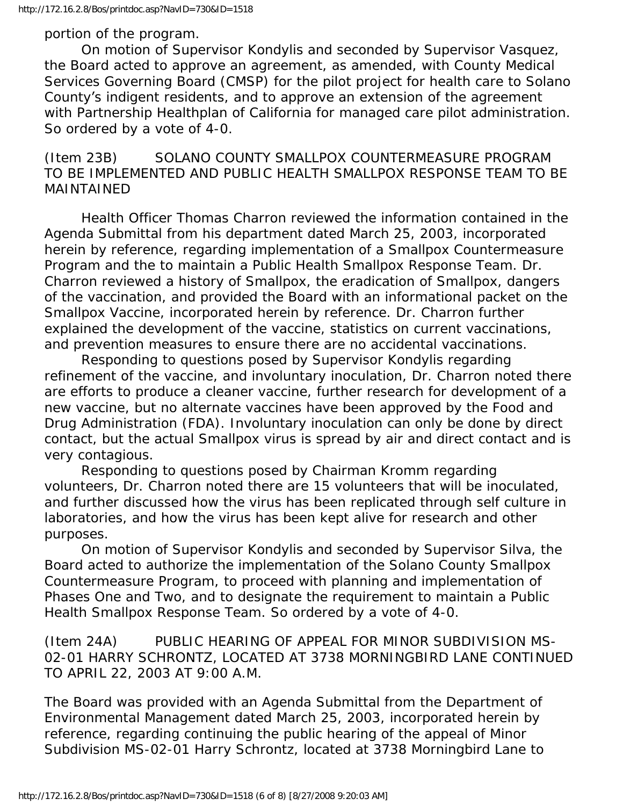portion of the program.

 On motion of Supervisor Kondylis and seconded by Supervisor Vasquez, the Board acted to approve an agreement, as amended, with County Medical Services Governing Board (CMSP) for the pilot project for health care to Solano County's indigent residents, and to approve an extension of the agreement with Partnership Healthplan of California for managed care pilot administration. So ordered by a vote of 4-0.

# (Item 23B) SOLANO COUNTY SMALLPOX COUNTERMEASURE PROGRAM TO BE IMPLEMENTED AND PUBLIC HEALTH SMALLPOX RESPONSE TEAM TO BE MAINTAINED

 Health Officer Thomas Charron reviewed the information contained in the Agenda Submittal from his department dated March 25, 2003, incorporated herein by reference, regarding implementation of a Smallpox Countermeasure Program and the to maintain a Public Health Smallpox Response Team. Dr. Charron reviewed a history of Smallpox, the eradication of Smallpox, dangers of the vaccination, and provided the Board with an informational packet on the Smallpox Vaccine, incorporated herein by reference. Dr. Charron further explained the development of the vaccine, statistics on current vaccinations, and prevention measures to ensure there are no accidental vaccinations.

 Responding to questions posed by Supervisor Kondylis regarding refinement of the vaccine, and involuntary inoculation, Dr. Charron noted there are efforts to produce a cleaner vaccine, further research for development of a new vaccine, but no alternate vaccines have been approved by the Food and Drug Administration (FDA). Involuntary inoculation can only be done by direct contact, but the actual Smallpox virus is spread by air and direct contact and is very contagious.

 Responding to questions posed by Chairman Kromm regarding volunteers, Dr. Charron noted there are 15 volunteers that will be inoculated, and further discussed how the virus has been replicated through self culture in laboratories, and how the virus has been kept alive for research and other purposes.

 On motion of Supervisor Kondylis and seconded by Supervisor Silva, the Board acted to authorize the implementation of the Solano County Smallpox Countermeasure Program, to proceed with planning and implementation of Phases One and Two, and to designate the requirement to maintain a Public Health Smallpox Response Team. So ordered by a vote of 4-0.

(Item 24A) PUBLIC HEARING OF APPEAL FOR MINOR SUBDIVISION MS-02-01 HARRY SCHRONTZ, LOCATED AT 3738 MORNINGBIRD LANE CONTINUED TO APRIL 22, 2003 AT 9:00 A.M.

The Board was provided with an Agenda Submittal from the Department of Environmental Management dated March 25, 2003, incorporated herein by reference, regarding continuing the public hearing of the appeal of Minor Subdivision MS-02-01 Harry Schrontz, located at 3738 Morningbird Lane to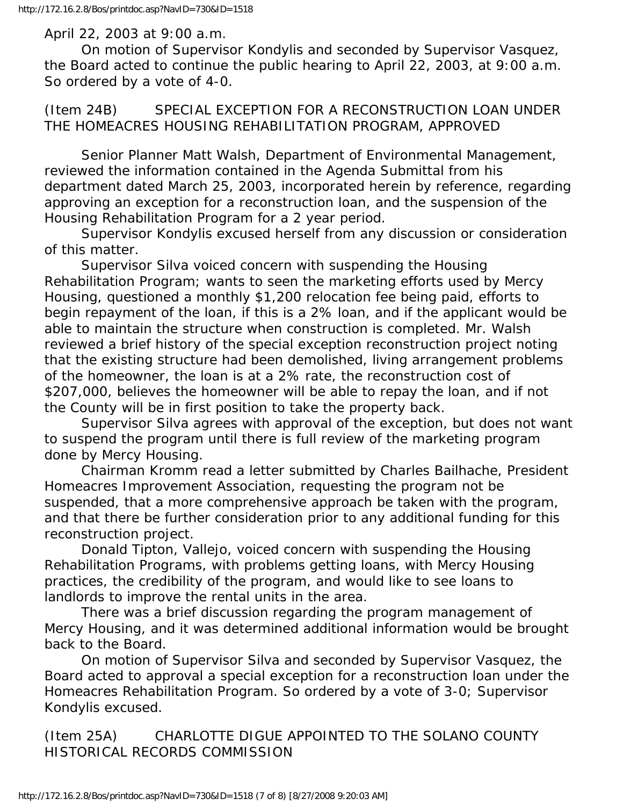#### April 22, 2003 at 9:00 a.m.

 On motion of Supervisor Kondylis and seconded by Supervisor Vasquez, the Board acted to continue the public hearing to April 22, 2003, at 9:00 a.m. So ordered by a vote of 4-0.

(Item 24B) SPECIAL EXCEPTION FOR A RECONSTRUCTION LOAN UNDER THE HOMEACRES HOUSING REHABILITATION PROGRAM, APPROVED

 Senior Planner Matt Walsh, Department of Environmental Management, reviewed the information contained in the Agenda Submittal from his department dated March 25, 2003, incorporated herein by reference, regarding approving an exception for a reconstruction loan, and the suspension of the Housing Rehabilitation Program for a 2 year period.

 Supervisor Kondylis excused herself from any discussion or consideration of this matter.

 Supervisor Silva voiced concern with suspending the Housing Rehabilitation Program; wants to seen the marketing efforts used by Mercy Housing, questioned a monthly \$1,200 relocation fee being paid, efforts to begin repayment of the loan, if this is a 2% loan, and if the applicant would be able to maintain the structure when construction is completed. Mr. Walsh reviewed a brief history of the special exception reconstruction project noting that the existing structure had been demolished, living arrangement problems of the homeowner, the loan is at a 2% rate, the reconstruction cost of \$207,000, believes the homeowner will be able to repay the loan, and if not the County will be in first position to take the property back.

 Supervisor Silva agrees with approval of the exception, but does not want to suspend the program until there is full review of the marketing program done by Mercy Housing.

 Chairman Kromm read a letter submitted by Charles Bailhache, President Homeacres Improvement Association, requesting the program not be suspended, that a more comprehensive approach be taken with the program, and that there be further consideration prior to any additional funding for this reconstruction project.

 Donald Tipton, Vallejo, voiced concern with suspending the Housing Rehabilitation Programs, with problems getting loans, with Mercy Housing practices, the credibility of the program, and would like to see loans to landlords to improve the rental units in the area.

 There was a brief discussion regarding the program management of Mercy Housing, and it was determined additional information would be brought back to the Board.

 On motion of Supervisor Silva and seconded by Supervisor Vasquez, the Board acted to approval a special exception for a reconstruction loan under the Homeacres Rehabilitation Program. So ordered by a vote of 3-0; Supervisor Kondylis excused.

(Item 25A) CHARLOTTE DIGUE APPOINTED TO THE SOLANO COUNTY HISTORICAL RECORDS COMMISSION